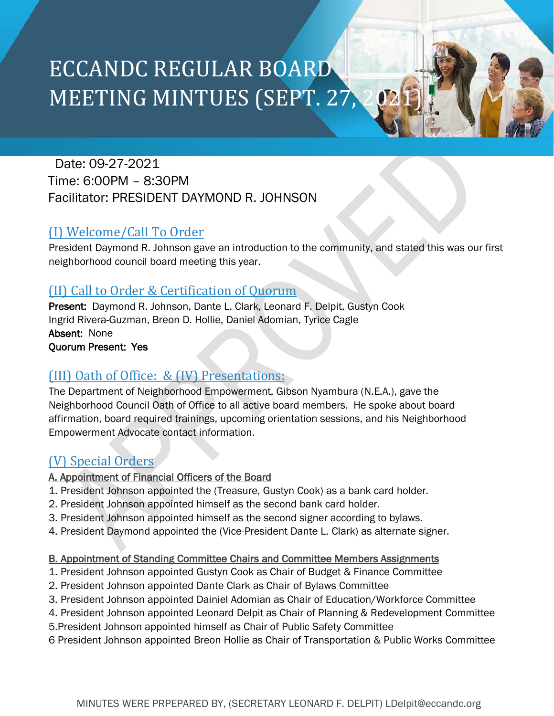# ECCANDC REGULAR BOARD MEETING MINTUES (SEPT. 27,

# Date: 09-27-2021 Time: 6:00PM – 8:30PM Facilitator: PRESIDENT DAYMOND R. JOHNSON

# (I) Welcome/Call To Order

President Daymond R. Johnson gave an introduction to the community, and stated this was our first neighborhood council board meeting this year.

# (II) Call to Order & Certification of Quorum

Present: Daymond R. Johnson, Dante L. Clark, Leonard F. Delpit, Gustyn Cook Ingrid Rivera-Guzman, Breon D. Hollie, Daniel Adomian, Tyrice Cagle Absent: None Quorum Present: Yes

# (III) Oath of Office: & (IV) Presentations:

The Department of Neighborhood Empowerment, Gibson Nyambura (N.E.A.), gave the Neighborhood Council Oath of Office to all active board members. He spoke about board affirmation, board required trainings, upcoming orientation sessions, and his Neighborhood Empowerment Advocate contact information.

# (V) Special Orders

## A. Appointment of Financial Officers of the Board

- 1. President Johnson appointed the (Treasure, Gustyn Cook) as a bank card holder.
- 2. President Johnson appointed himself as the second bank card holder.
- 3. President Johnson appointed himself as the second signer according to bylaws.
- 4. President Daymond appointed the (Vice-President Dante L. Clark) as alternate signer.

## B. Appointment of Standing Committee Chairs and Committee Members Assignments

- 1. President Johnson appointed Gustyn Cook as Chair of Budget & Finance Committee
- 2. President Johnson appointed Dante Clark as Chair of Bylaws Committee
- 3. President Johnson appointed Dainiel Adomian as Chair of Education/Workforce Committee
- 4. President Johnson appointed Leonard Delpit as Chair of Planning & Redevelopment Committee
- 5.President Johnson appointed himself as Chair of Public Safety Committee
- 6 President Johnson appointed Breon Hollie as Chair of Transportation & Public Works Committee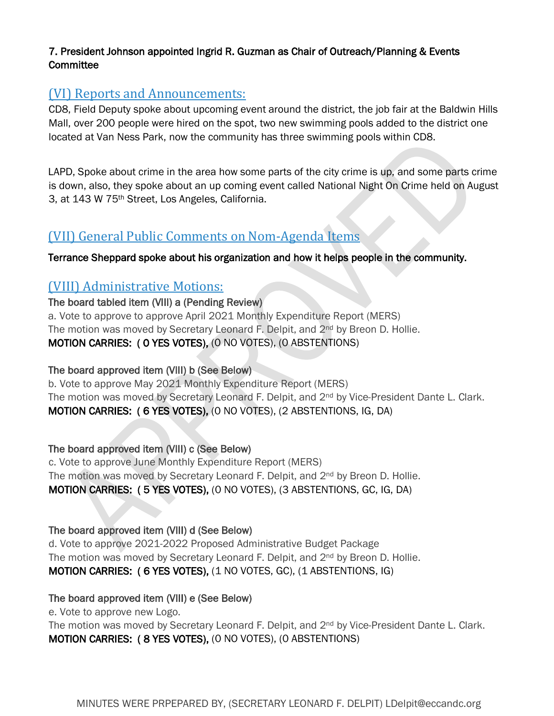#### 7. President Johnson appointed Ingrid R. Guzman as Chair of Outreach/Planning & Events **Committee**

## (VI) Reports and Announcements:

CD8, Field Deputy spoke about upcoming event around the district, the job fair at the Baldwin Hills Mall, over 200 people were hired on the spot, two new swimming pools added to the district one located at Van Ness Park, now the community has three swimming pools within CD8.

LAPD, Spoke about crime in the area how some parts of the city crime is up, and some parts crime is down, also, they spoke about an up coming event called National Night On Crime held on August 3, at 143 W 75th Street, Los Angeles, California.

## (VII) General Public Comments on Nom-Agenda Items

#### Terrance Sheppard spoke about his organization and how it helps people in the community.

## (VIII) Administrative Motions:

#### The board tabled item (VIII) a (Pending Review)

a. Vote to approve to approve April 2021 Monthly Expenditure Report (MERS) The motion was moved by Secretary Leonard F. Delpit, and 2<sup>nd</sup> by Breon D. Hollie. MOTION CARRIES: ( 0 YES VOTES), (0 NO VOTES), (0 ABSTENTIONS)

#### The board approved item (VIII) b (See Below)

b. Vote to approve May 2021 Monthly Expenditure Report (MERS) The motion was moved by Secretary Leonard F. Delpit, and 2<sup>nd</sup> by Vice-President Dante L. Clark. MOTION CARRIES: ( 6 YES VOTES), (0 NO VOTES), (2 ABSTENTIONS, IG, DA)

#### The board approved item (VIII) c (See Below)

c. Vote to approve June Monthly Expenditure Report (MERS) The motion was moved by Secretary Leonard F. Delpit, and 2<sup>nd</sup> by Breon D. Hollie. MOTION CARRIES: ( 5 YES VOTES), (0 NO VOTES), (3 ABSTENTIONS, GC, IG, DA)

#### The board approved item (VIII) d (See Below)

d. Vote to approve 2021-2022 Proposed Administrative Budget Package The motion was moved by Secretary Leonard F. Delpit, and  $2<sup>nd</sup>$  by Breon D. Hollie. MOTION CARRIES: ( 6 YES VOTES), (1 NO VOTES, GC), (1 ABSTENTIONS, IG)

#### The board approved item (VIII) e (See Below)

e. Vote to approve new Logo.

The motion was moved by Secretary Leonard F. Delpit, and 2<sup>nd</sup> by Vice-President Dante L. Clark. MOTION CARRIES: ( 8 YES VOTES), (0 NO VOTES), (0 ABSTENTIONS)